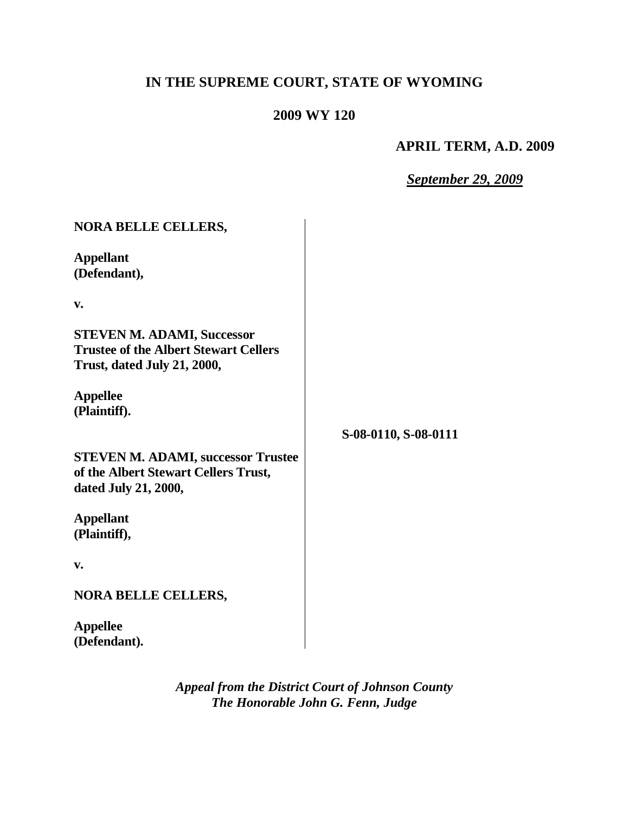# **IN THE SUPREME COURT, STATE OF WYOMING**

# **2009 WY 120**

## **APRIL TERM, A.D. 2009**

## *September 29, 2009*

| <b>NORA BELLE CELLERS,</b>                                                                                       |                      |
|------------------------------------------------------------------------------------------------------------------|----------------------|
| <b>Appellant</b><br>(Defendant),                                                                                 |                      |
| V.                                                                                                               |                      |
| <b>STEVEN M. ADAMI, Successor</b><br><b>Trustee of the Albert Stewart Cellers</b><br>Trust, dated July 21, 2000, |                      |
| <b>Appellee</b><br>(Plaintiff).                                                                                  |                      |
|                                                                                                                  | S-08-0110, S-08-0111 |
| <b>STEVEN M. ADAMI, successor Trustee</b><br>of the Albert Stewart Cellers Trust,<br>dated July 21, 2000,        |                      |
| <b>Appellant</b><br>(Plaintiff),                                                                                 |                      |
| v.                                                                                                               |                      |
| <b>NORA BELLE CELLERS,</b>                                                                                       |                      |
| <b>Appellee</b><br>(Defendant).                                                                                  |                      |

*Appeal from the District Court of Johnson County The Honorable John G. Fenn, Judge*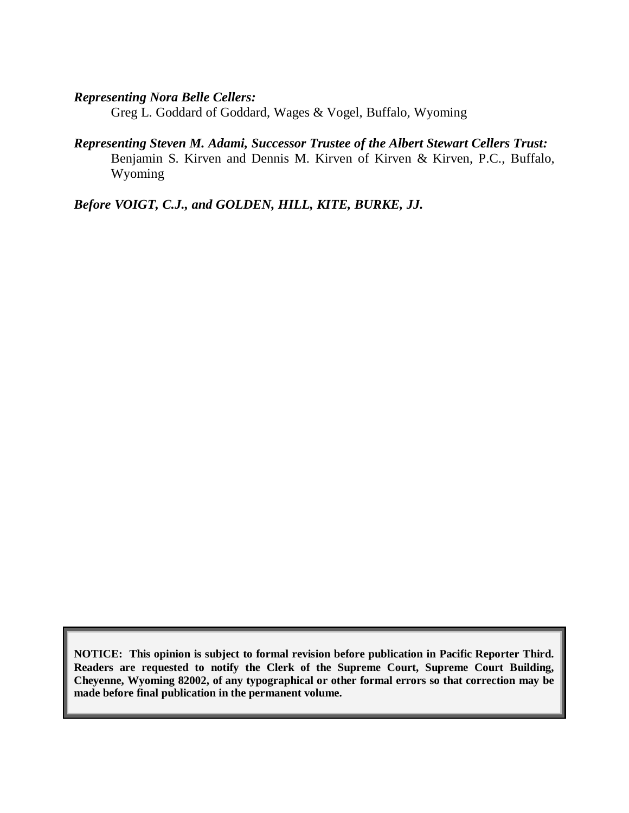## *Representing Nora Belle Cellers:*

Greg L. Goddard of Goddard, Wages & Vogel, Buffalo, Wyoming

*Representing Steven M. Adami, Successor Trustee of the Albert Stewart Cellers Trust:* Benjamin S. Kirven and Dennis M. Kirven of Kirven & Kirven, P.C., Buffalo, Wyoming

*Before VOIGT, C.J., and GOLDEN, HILL, KITE, BURKE, JJ.*

**NOTICE: This opinion is subject to formal revision before publication in Pacific Reporter Third. Readers are requested to notify the Clerk of the Supreme Court, Supreme Court Building, Cheyenne, Wyoming 82002, of any typographical or other formal errors so that correction may be made before final publication in the permanent volume.**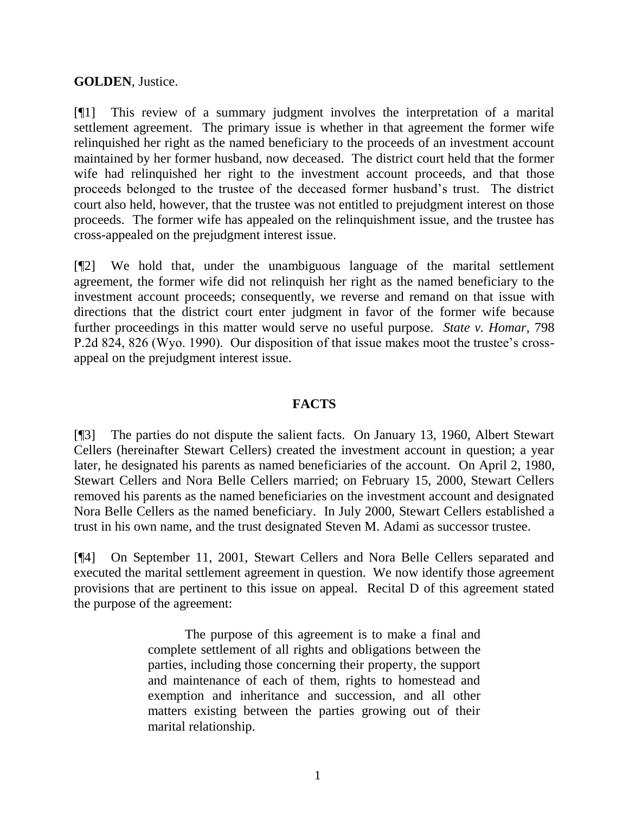#### **GOLDEN**, Justice.

[¶1] This review of a summary judgment involves the interpretation of a marital settlement agreement. The primary issue is whether in that agreement the former wife relinquished her right as the named beneficiary to the proceeds of an investment account maintained by her former husband, now deceased. The district court held that the former wife had relinquished her right to the investment account proceeds, and that those proceeds belonged to the trustee of the deceased former husband's trust. The district court also held, however, that the trustee was not entitled to prejudgment interest on those proceeds. The former wife has appealed on the relinquishment issue, and the trustee has cross-appealed on the prejudgment interest issue.

[¶2] We hold that, under the unambiguous language of the marital settlement agreement, the former wife did not relinquish her right as the named beneficiary to the investment account proceeds; consequently, we reverse and remand on that issue with directions that the district court enter judgment in favor of the former wife because further proceedings in this matter would serve no useful purpose. *State v. Homar*, 798 P.2d 824, 826 (Wyo. 1990). Our disposition of that issue makes moot the trustee's crossappeal on the prejudgment interest issue.

#### **FACTS**

[¶3] The parties do not dispute the salient facts. On January 13, 1960, Albert Stewart Cellers (hereinafter Stewart Cellers) created the investment account in question; a year later, he designated his parents as named beneficiaries of the account. On April 2, 1980, Stewart Cellers and Nora Belle Cellers married; on February 15, 2000, Stewart Cellers removed his parents as the named beneficiaries on the investment account and designated Nora Belle Cellers as the named beneficiary. In July 2000, Stewart Cellers established a trust in his own name, and the trust designated Steven M. Adami as successor trustee.

[¶4] On September 11, 2001, Stewart Cellers and Nora Belle Cellers separated and executed the marital settlement agreement in question. We now identify those agreement provisions that are pertinent to this issue on appeal. Recital D of this agreement stated the purpose of the agreement:

> The purpose of this agreement is to make a final and complete settlement of all rights and obligations between the parties, including those concerning their property, the support and maintenance of each of them, rights to homestead and exemption and inheritance and succession, and all other matters existing between the parties growing out of their marital relationship.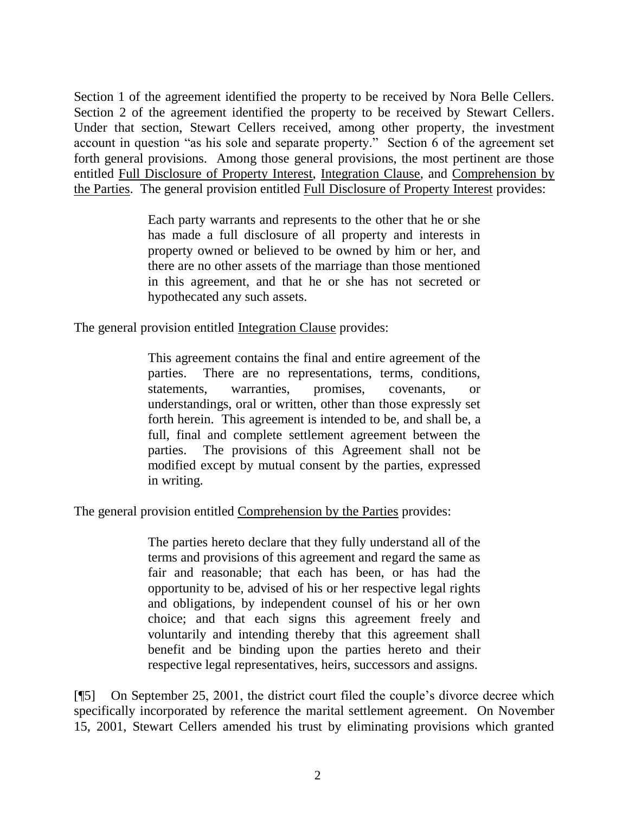Section 1 of the agreement identified the property to be received by Nora Belle Cellers. Section 2 of the agreement identified the property to be received by Stewart Cellers. Under that section, Stewart Cellers received, among other property, the investment account in question "as his sole and separate property." Section 6 of the agreement set forth general provisions. Among those general provisions, the most pertinent are those entitled Full Disclosure of Property Interest, Integration Clause, and Comprehension by the Parties. The general provision entitled Full Disclosure of Property Interest provides:

> Each party warrants and represents to the other that he or she has made a full disclosure of all property and interests in property owned or believed to be owned by him or her, and there are no other assets of the marriage than those mentioned in this agreement, and that he or she has not secreted or hypothecated any such assets.

The general provision entitled Integration Clause provides:

This agreement contains the final and entire agreement of the parties. There are no representations, terms, conditions, statements, warranties, promises, covenants, or understandings, oral or written, other than those expressly set forth herein. This agreement is intended to be, and shall be, a full, final and complete settlement agreement between the parties. The provisions of this Agreement shall not be modified except by mutual consent by the parties, expressed in writing.

The general provision entitled Comprehension by the Parties provides:

The parties hereto declare that they fully understand all of the terms and provisions of this agreement and regard the same as fair and reasonable; that each has been, or has had the opportunity to be, advised of his or her respective legal rights and obligations, by independent counsel of his or her own choice; and that each signs this agreement freely and voluntarily and intending thereby that this agreement shall benefit and be binding upon the parties hereto and their respective legal representatives, heirs, successors and assigns.

[¶5] On September 25, 2001, the district court filed the couple's divorce decree which specifically incorporated by reference the marital settlement agreement. On November 15, 2001, Stewart Cellers amended his trust by eliminating provisions which granted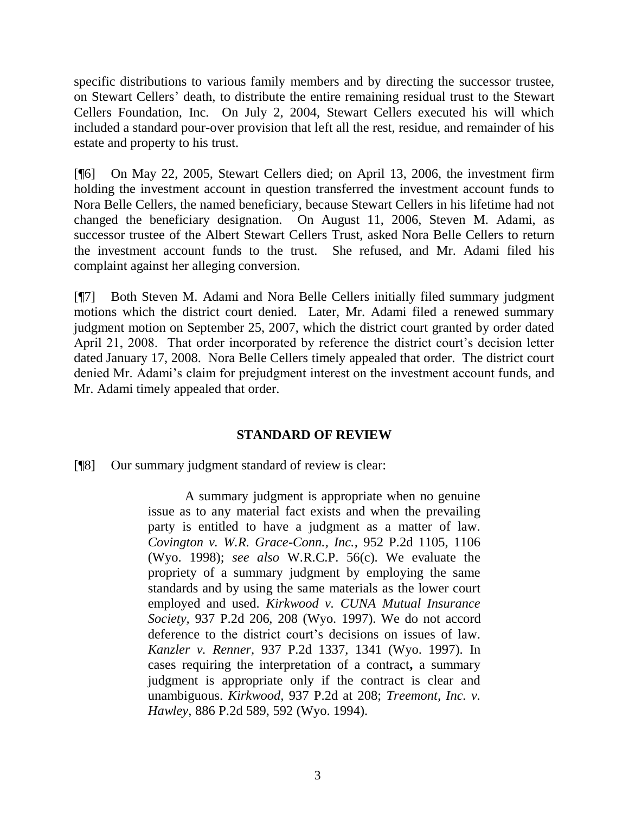specific distributions to various family members and by directing the successor trustee, on Stewart Cellers' death, to distribute the entire remaining residual trust to the Stewart Cellers Foundation, Inc. On July 2, 2004, Stewart Cellers executed his will which included a standard pour-over provision that left all the rest, residue, and remainder of his estate and property to his trust.

[¶6] On May 22, 2005, Stewart Cellers died; on April 13, 2006, the investment firm holding the investment account in question transferred the investment account funds to Nora Belle Cellers, the named beneficiary, because Stewart Cellers in his lifetime had not changed the beneficiary designation. On August 11, 2006, Steven M. Adami, as successor trustee of the Albert Stewart Cellers Trust, asked Nora Belle Cellers to return the investment account funds to the trust. She refused, and Mr. Adami filed his complaint against her alleging conversion.

[¶7] Both Steven M. Adami and Nora Belle Cellers initially filed summary judgment motions which the district court denied. Later, Mr. Adami filed a renewed summary judgment motion on September 25, 2007, which the district court granted by order dated April 21, 2008. That order incorporated by reference the district court's decision letter dated January 17, 2008. Nora Belle Cellers timely appealed that order. The district court denied Mr. Adami's claim for prejudgment interest on the investment account funds, and Mr. Adami timely appealed that order.

## **STANDARD OF REVIEW**

[¶8] Our summary judgment standard of review is clear:

A summary judgment is appropriate when no genuine issue as to any material fact exists and when the prevailing party is entitled to have a judgment as a matter of law. *Covington v. W.R. Grace-Conn., Inc.,* 952 P.2d 1105, 1106 (Wyo. 1998); *see also* W.R.C.P. 56(c). We evaluate the propriety of a summary judgment by employing the same standards and by using the same materials as the lower court employed and used. *Kirkwood v. CUNA Mutual Insurance Society,* 937 P.2d 206, 208 (Wyo. 1997). We do not accord deference to the district court's decisions on issues of law. *Kanzler v. Renner,* 937 P.2d 1337, 1341 (Wyo. 1997). In cases requiring the interpretation of a contract**,** a summary judgment is appropriate only if the contract is clear and unambiguous. *Kirkwood,* 937 P.2d at 208; *Treemont, Inc. v. Hawley,* 886 P.2d 589, 592 (Wyo. 1994).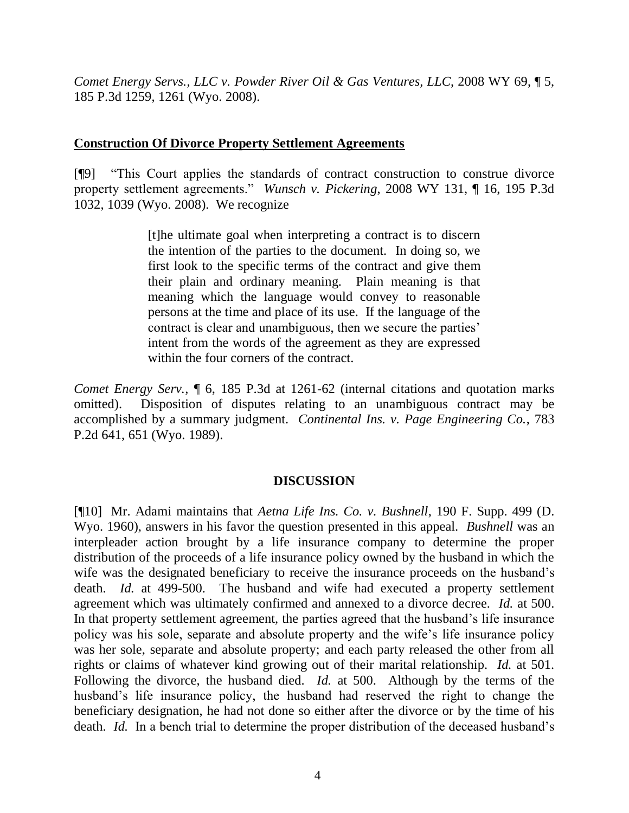*Comet Energy Servs., LLC v. Powder River Oil & Gas Ventures, LLC*, 2008 WY 69, ¶ 5, 185 P.3d 1259, 1261 (Wyo. 2008).

#### **Construction Of Divorce Property Settlement Agreements**

[¶9] "This Court applies the standards of contract construction to construe divorce property settlement agreements." *Wunsch v. Pickering*, 2008 WY 131, ¶ 16, 195 P.3d 1032, 1039 (Wyo. 2008). We recognize

> [t]he ultimate goal when interpreting a contract is to discern the intention of the parties to the document. In doing so, we first look to the specific terms of the contract and give them their plain and ordinary meaning. Plain meaning is that meaning which the language would convey to reasonable persons at the time and place of its use. If the language of the contract is clear and unambiguous, then we secure the parties' intent from the words of the agreement as they are expressed within the four corners of the contract.

*Comet Energy Serv.*,  $\parallel$  6, 185 P.3d at 1261-62 (internal citations and quotation marks omitted). Disposition of disputes relating to an unambiguous contract may be accomplished by a summary judgment. *Continental Ins. v. Page Engineering Co.*, 783 P.2d 641, 651 (Wyo. 1989).

#### **DISCUSSION**

[¶10] Mr. Adami maintains that *Aetna Life Ins. Co. v. Bushnell*, 190 F. Supp. 499 (D. Wyo. 1960), answers in his favor the question presented in this appeal. *Bushnell* was an interpleader action brought by a life insurance company to determine the proper distribution of the proceeds of a life insurance policy owned by the husband in which the wife was the designated beneficiary to receive the insurance proceeds on the husband's death. *Id.* at 499-500. The husband and wife had executed a property settlement agreement which was ultimately confirmed and annexed to a divorce decree. *Id.* at 500. In that property settlement agreement, the parties agreed that the husband's life insurance policy was his sole, separate and absolute property and the wife's life insurance policy was her sole, separate and absolute property; and each party released the other from all rights or claims of whatever kind growing out of their marital relationship. *Id.* at 501. Following the divorce, the husband died. *Id.* at 500. Although by the terms of the husband's life insurance policy, the husband had reserved the right to change the beneficiary designation, he had not done so either after the divorce or by the time of his death. *Id.* In a bench trial to determine the proper distribution of the deceased husband's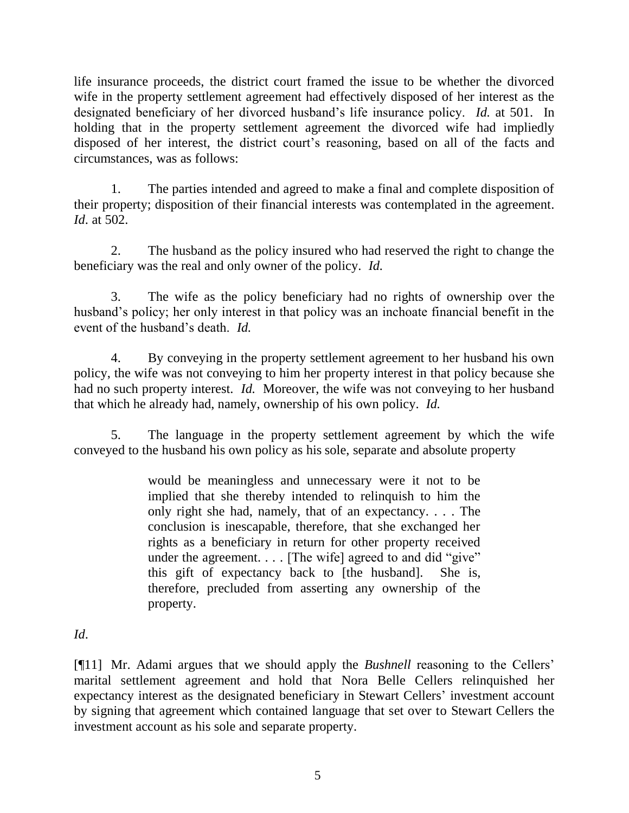life insurance proceeds, the district court framed the issue to be whether the divorced wife in the property settlement agreement had effectively disposed of her interest as the designated beneficiary of her divorced husband's life insurance policy. *Id.* at 501. In holding that in the property settlement agreement the divorced wife had impliedly disposed of her interest, the district court's reasoning, based on all of the facts and circumstances, was as follows:

1. The parties intended and agreed to make a final and complete disposition of their property; disposition of their financial interests was contemplated in the agreement. *Id*. at 502.

2. The husband as the policy insured who had reserved the right to change the beneficiary was the real and only owner of the policy. *Id.*

3. The wife as the policy beneficiary had no rights of ownership over the husband's policy; her only interest in that policy was an inchoate financial benefit in the event of the husband's death. *Id.*

4. By conveying in the property settlement agreement to her husband his own policy, the wife was not conveying to him her property interest in that policy because she had no such property interest. *Id.* Moreover, the wife was not conveying to her husband that which he already had, namely, ownership of his own policy. *Id.*

5. The language in the property settlement agreement by which the wife conveyed to the husband his own policy as his sole, separate and absolute property

> would be meaningless and unnecessary were it not to be implied that she thereby intended to relinquish to him the only right she had, namely, that of an expectancy. . . . The conclusion is inescapable, therefore, that she exchanged her rights as a beneficiary in return for other property received under the agreement. . . . [The wife] agreed to and did "give" this gift of expectancy back to [the husband]. She is, therefore, precluded from asserting any ownership of the property.

# *Id*.

[¶11] Mr. Adami argues that we should apply the *Bushnell* reasoning to the Cellers' marital settlement agreement and hold that Nora Belle Cellers relinquished her expectancy interest as the designated beneficiary in Stewart Cellers' investment account by signing that agreement which contained language that set over to Stewart Cellers the investment account as his sole and separate property.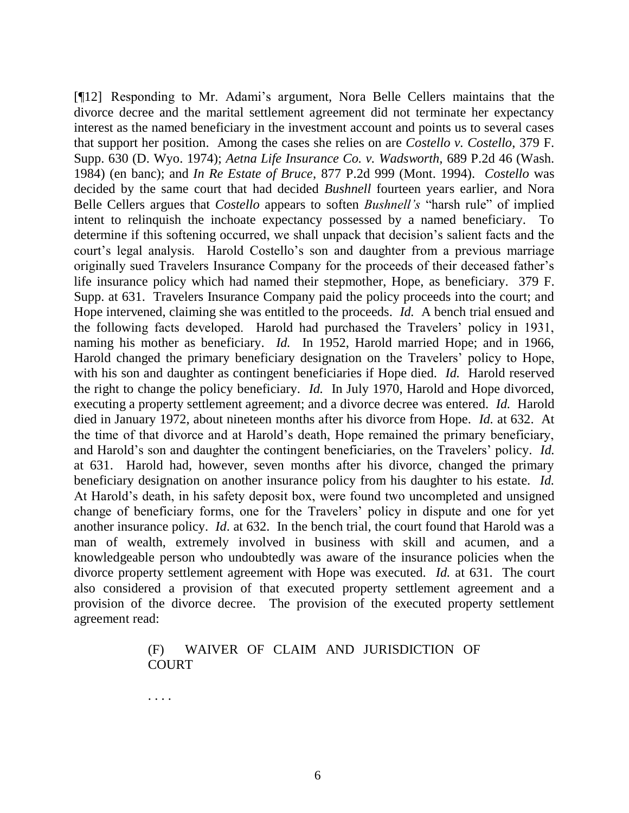[¶12] Responding to Mr. Adami's argument, Nora Belle Cellers maintains that the divorce decree and the marital settlement agreement did not terminate her expectancy interest as the named beneficiary in the investment account and points us to several cases that support her position. Among the cases she relies on are *Costello v. Costello*, 379 F. Supp. 630 (D. Wyo. 1974); *Aetna Life Insurance Co. v. Wadsworth,* 689 P.2d 46 (Wash. 1984) (en banc); and *In Re Estate of Bruce*, 877 P.2d 999 (Mont. 1994). *Costello* was decided by the same court that had decided *Bushnell* fourteen years earlier, and Nora Belle Cellers argues that *Costello* appears to soften *Bushnell's* "harsh rule" of implied intent to relinquish the inchoate expectancy possessed by a named beneficiary. To determine if this softening occurred, we shall unpack that decision's salient facts and the court's legal analysis. Harold Costello's son and daughter from a previous marriage originally sued Travelers Insurance Company for the proceeds of their deceased father's life insurance policy which had named their stepmother, Hope, as beneficiary. 379 F. Supp. at 631. Travelers Insurance Company paid the policy proceeds into the court; and Hope intervened, claiming she was entitled to the proceeds. *Id.* A bench trial ensued and the following facts developed. Harold had purchased the Travelers' policy in 1931, naming his mother as beneficiary. *Id.* In 1952, Harold married Hope; and in 1966, Harold changed the primary beneficiary designation on the Travelers' policy to Hope, with his son and daughter as contingent beneficiaries if Hope died. *Id.* Harold reserved the right to change the policy beneficiary. *Id.* In July 1970, Harold and Hope divorced, executing a property settlement agreement; and a divorce decree was entered. *Id.* Harold died in January 1972, about nineteen months after his divorce from Hope. *Id.* at 632. At the time of that divorce and at Harold's death, Hope remained the primary beneficiary, and Harold's son and daughter the contingent beneficiaries, on the Travelers' policy. *Id.* at 631. Harold had, however, seven months after his divorce, changed the primary beneficiary designation on another insurance policy from his daughter to his estate. *Id.* At Harold's death, in his safety deposit box, were found two uncompleted and unsigned change of beneficiary forms, one for the Travelers' policy in dispute and one for yet another insurance policy. *Id*. at 632. In the bench trial, the court found that Harold was a man of wealth, extremely involved in business with skill and acumen, and a knowledgeable person who undoubtedly was aware of the insurance policies when the divorce property settlement agreement with Hope was executed. *Id.* at 631. The court also considered a provision of that executed property settlement agreement and a provision of the divorce decree. The provision of the executed property settlement agreement read:

#### (F) WAIVER OF CLAIM AND JURISDICTION OF COURT

. . . .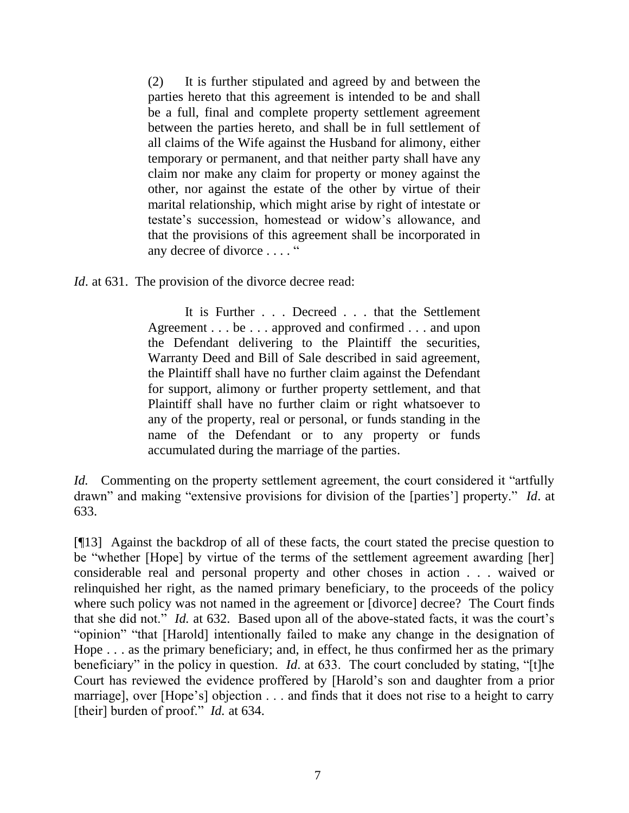(2) It is further stipulated and agreed by and between the parties hereto that this agreement is intended to be and shall be a full, final and complete property settlement agreement between the parties hereto, and shall be in full settlement of all claims of the Wife against the Husband for alimony, either temporary or permanent, and that neither party shall have any claim nor make any claim for property or money against the other, nor against the estate of the other by virtue of their marital relationship, which might arise by right of intestate or testate's succession, homestead or widow's allowance, and that the provisions of this agreement shall be incorporated in any decree of divorce . . . . "

*Id.* at 631. The provision of the divorce decree read:

It is Further . . . Decreed . . . that the Settlement Agreement . . . be . . . approved and confirmed . . . and upon the Defendant delivering to the Plaintiff the securities, Warranty Deed and Bill of Sale described in said agreement, the Plaintiff shall have no further claim against the Defendant for support, alimony or further property settlement, and that Plaintiff shall have no further claim or right whatsoever to any of the property, real or personal, or funds standing in the name of the Defendant or to any property or funds accumulated during the marriage of the parties.

*Id.* Commenting on the property settlement agreement, the court considered it "artfully drawn" and making "extensive provisions for division of the [parties'] property." *Id*. at 633.

[¶13] Against the backdrop of all of these facts, the court stated the precise question to be "whether [Hope] by virtue of the terms of the settlement agreement awarding [her] considerable real and personal property and other choses in action . . . waived or relinquished her right, as the named primary beneficiary, to the proceeds of the policy where such policy was not named in the agreement or [divorce] decree? The Court finds that she did not." *Id.* at 632. Based upon all of the above-stated facts, it was the court's "opinion" "that [Harold] intentionally failed to make any change in the designation of Hope . . . as the primary beneficiary; and, in effect, he thus confirmed her as the primary beneficiary" in the policy in question. *Id*. at 633. The court concluded by stating, "[t]he Court has reviewed the evidence proffered by [Harold's son and daughter from a prior marriage], over [Hope's] objection . . . and finds that it does not rise to a height to carry [their] burden of proof." *Id.* at 634.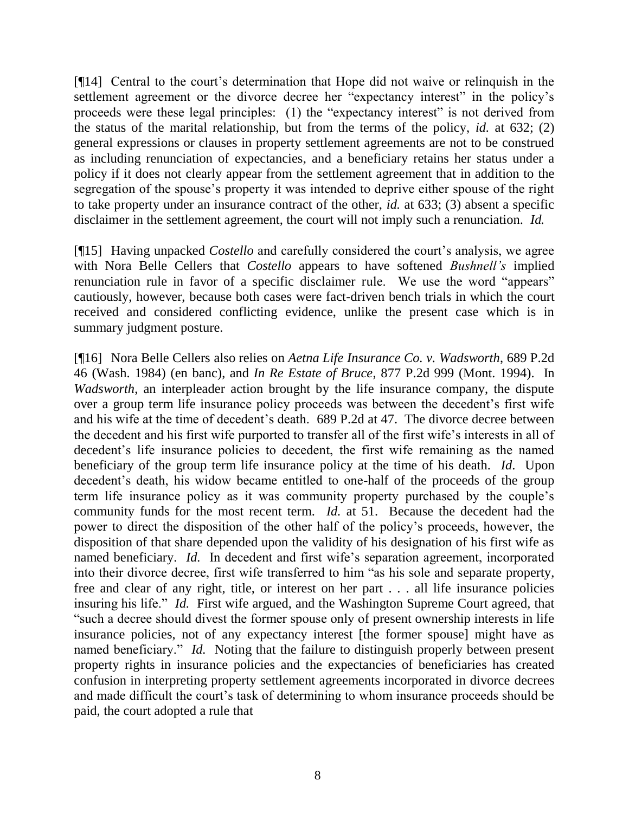[¶14] Central to the court's determination that Hope did not waive or relinquish in the settlement agreement or the divorce decree her "expectancy interest" in the policy's proceeds were these legal principles: (1) the "expectancy interest" is not derived from the status of the marital relationship, but from the terms of the policy, *id.* at 632; (2) general expressions or clauses in property settlement agreements are not to be construed as including renunciation of expectancies, and a beneficiary retains her status under a policy if it does not clearly appear from the settlement agreement that in addition to the segregation of the spouse's property it was intended to deprive either spouse of the right to take property under an insurance contract of the other, *id.* at 633; (3) absent a specific disclaimer in the settlement agreement, the court will not imply such a renunciation. *Id.*

[¶15] Having unpacked *Costello* and carefully considered the court's analysis, we agree with Nora Belle Cellers that *Costello* appears to have softened *Bushnell's* implied renunciation rule in favor of a specific disclaimer rule. We use the word "appears" cautiously, however, because both cases were fact-driven bench trials in which the court received and considered conflicting evidence, unlike the present case which is in summary judgment posture.

[¶16] Nora Belle Cellers also relies on *Aetna Life Insurance Co. v. Wadsworth*, 689 P.2d 46 (Wash. 1984) (en banc), and *In Re Estate of Bruce*, 877 P.2d 999 (Mont. 1994). In *Wadsworth*, an interpleader action brought by the life insurance company, the dispute over a group term life insurance policy proceeds was between the decedent's first wife and his wife at the time of decedent's death. 689 P.2d at 47. The divorce decree between the decedent and his first wife purported to transfer all of the first wife's interests in all of decedent's life insurance policies to decedent, the first wife remaining as the named beneficiary of the group term life insurance policy at the time of his death. *Id*. Upon decedent's death, his widow became entitled to one-half of the proceeds of the group term life insurance policy as it was community property purchased by the couple's community funds for the most recent term. *Id.* at 51. Because the decedent had the power to direct the disposition of the other half of the policy's proceeds, however, the disposition of that share depended upon the validity of his designation of his first wife as named beneficiary. *Id.* In decedent and first wife's separation agreement, incorporated into their divorce decree, first wife transferred to him "as his sole and separate property, free and clear of any right, title, or interest on her part . . . all life insurance policies insuring his life." *Id.* First wife argued, and the Washington Supreme Court agreed, that "such a decree should divest the former spouse only of present ownership interests in life insurance policies, not of any expectancy interest [the former spouse] might have as named beneficiary." *Id.* Noting that the failure to distinguish properly between present property rights in insurance policies and the expectancies of beneficiaries has created confusion in interpreting property settlement agreements incorporated in divorce decrees and made difficult the court's task of determining to whom insurance proceeds should be paid, the court adopted a rule that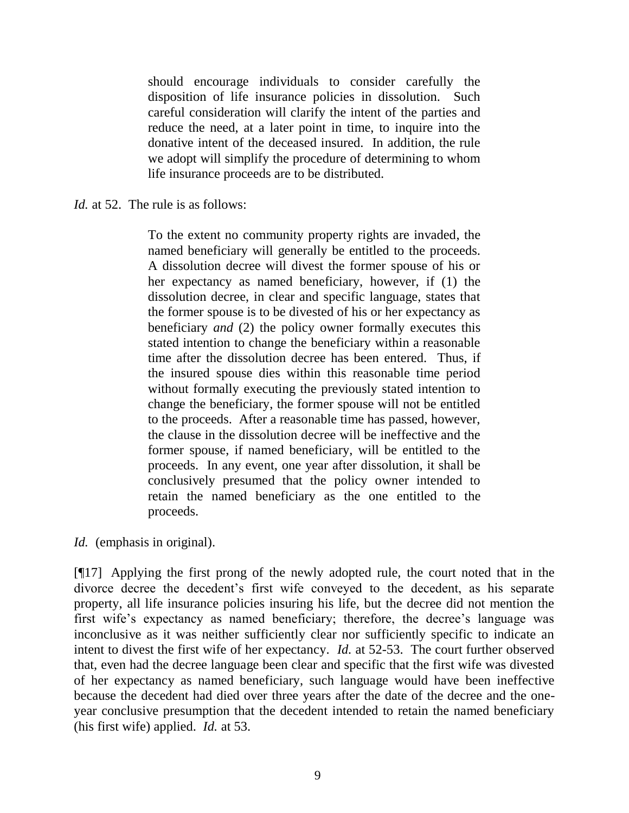should encourage individuals to consider carefully the disposition of life insurance policies in dissolution. Such careful consideration will clarify the intent of the parties and reduce the need, at a later point in time, to inquire into the donative intent of the deceased insured. In addition, the rule we adopt will simplify the procedure of determining to whom life insurance proceeds are to be distributed.

*Id.* at 52. The rule is as follows:

To the extent no community property rights are invaded, the named beneficiary will generally be entitled to the proceeds. A dissolution decree will divest the former spouse of his or her expectancy as named beneficiary, however, if (1) the dissolution decree, in clear and specific language, states that the former spouse is to be divested of his or her expectancy as beneficiary *and* (2) the policy owner formally executes this stated intention to change the beneficiary within a reasonable time after the dissolution decree has been entered. Thus, if the insured spouse dies within this reasonable time period without formally executing the previously stated intention to change the beneficiary, the former spouse will not be entitled to the proceeds. After a reasonable time has passed, however, the clause in the dissolution decree will be ineffective and the former spouse, if named beneficiary, will be entitled to the proceeds. In any event, one year after dissolution, it shall be conclusively presumed that the policy owner intended to retain the named beneficiary as the one entitled to the proceeds.

*Id.* (emphasis in original).

[¶17] Applying the first prong of the newly adopted rule, the court noted that in the divorce decree the decedent's first wife conveyed to the decedent, as his separate property, all life insurance policies insuring his life, but the decree did not mention the first wife's expectancy as named beneficiary; therefore, the decree's language was inconclusive as it was neither sufficiently clear nor sufficiently specific to indicate an intent to divest the first wife of her expectancy. *Id.* at 52-53. The court further observed that, even had the decree language been clear and specific that the first wife was divested of her expectancy as named beneficiary, such language would have been ineffective because the decedent had died over three years after the date of the decree and the oneyear conclusive presumption that the decedent intended to retain the named beneficiary (his first wife) applied. *Id.* at 53.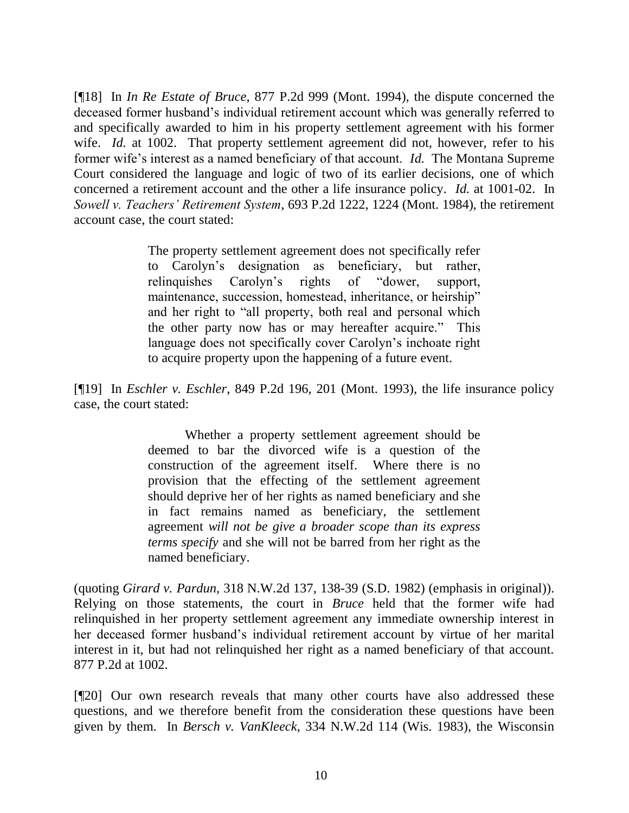[¶18] In *In Re Estate of Bruce*, 877 P.2d 999 (Mont. 1994), the dispute concerned the deceased former husband's individual retirement account which was generally referred to and specifically awarded to him in his property settlement agreement with his former wife. *Id.* at 1002. That property settlement agreement did not, however, refer to his former wife's interest as a named beneficiary of that account. *Id.* The Montana Supreme Court considered the language and logic of two of its earlier decisions, one of which concerned a retirement account and the other a life insurance policy. *Id.* at 1001-02. In *Sowell v. Teachers' Retirement System*, 693 P.2d 1222, 1224 (Mont. 1984), the retirement account case, the court stated:

> The property settlement agreement does not specifically refer to Carolyn's designation as beneficiary, but rather, relinquishes Carolyn's rights of "dower, support, maintenance, succession, homestead, inheritance, or heirship" and her right to "all property, both real and personal which the other party now has or may hereafter acquire." This language does not specifically cover Carolyn's inchoate right to acquire property upon the happening of a future event.

[¶19] In *Eschler v. Eschler*, 849 P.2d 196, 201 (Mont. 1993), the life insurance policy case, the court stated:

> Whether a property settlement agreement should be deemed to bar the divorced wife is a question of the construction of the agreement itself. Where there is no provision that the effecting of the settlement agreement should deprive her of her rights as named beneficiary and she in fact remains named as beneficiary, the settlement agreement *will not be give a broader scope than its express terms specify* and she will not be barred from her right as the named beneficiary.

(quoting *Girard v. Pardun*, 318 N.W.2d 137, 138-39 (S.D. 1982) (emphasis in original)). Relying on those statements, the court in *Bruce* held that the former wife had relinquished in her property settlement agreement any immediate ownership interest in her deceased former husband's individual retirement account by virtue of her marital interest in it, but had not relinquished her right as a named beneficiary of that account. 877 P.2d at 1002.

[¶20] Our own research reveals that many other courts have also addressed these questions, and we therefore benefit from the consideration these questions have been given by them. In *Bersch v. VanKleeck*, 334 N.W.2d 114 (Wis. 1983), the Wisconsin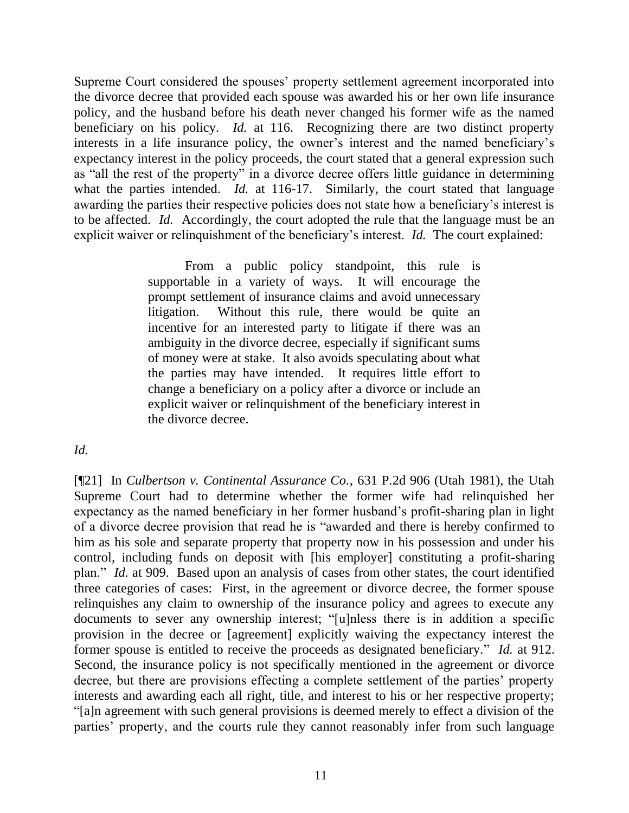Supreme Court considered the spouses' property settlement agreement incorporated into the divorce decree that provided each spouse was awarded his or her own life insurance policy, and the husband before his death never changed his former wife as the named beneficiary on his policy. *Id.* at 116. Recognizing there are two distinct property interests in a life insurance policy, the owner's interest and the named beneficiary's expectancy interest in the policy proceeds, the court stated that a general expression such as "all the rest of the property" in a divorce decree offers little guidance in determining what the parties intended. *Id.* at 116-17. Similarly, the court stated that language awarding the parties their respective policies does not state how a beneficiary's interest is to be affected. *Id.* Accordingly, the court adopted the rule that the language must be an explicit waiver or relinquishment of the beneficiary's interest. *Id.* The court explained:

> From a public policy standpoint, this rule is supportable in a variety of ways. It will encourage the prompt settlement of insurance claims and avoid unnecessary litigation. Without this rule, there would be quite an incentive for an interested party to litigate if there was an ambiguity in the divorce decree, especially if significant sums of money were at stake. It also avoids speculating about what the parties may have intended. It requires little effort to change a beneficiary on a policy after a divorce or include an explicit waiver or relinquishment of the beneficiary interest in the divorce decree.

*Id.*

[¶21] In *Culbertson v. Continental Assurance Co.*, 631 P.2d 906 (Utah 1981), the Utah Supreme Court had to determine whether the former wife had relinquished her expectancy as the named beneficiary in her former husband's profit-sharing plan in light of a divorce decree provision that read he is "awarded and there is hereby confirmed to him as his sole and separate property that property now in his possession and under his control, including funds on deposit with [his employer] constituting a profit-sharing plan." *Id.* at 909. Based upon an analysis of cases from other states, the court identified three categories of cases: First, in the agreement or divorce decree, the former spouse relinquishes any claim to ownership of the insurance policy and agrees to execute any documents to sever any ownership interest; "[u]nless there is in addition a specific provision in the decree or [agreement] explicitly waiving the expectancy interest the former spouse is entitled to receive the proceeds as designated beneficiary." *Id.* at 912. Second, the insurance policy is not specifically mentioned in the agreement or divorce decree, but there are provisions effecting a complete settlement of the parties' property interests and awarding each all right, title, and interest to his or her respective property; "[a]n agreement with such general provisions is deemed merely to effect a division of the parties' property, and the courts rule they cannot reasonably infer from such language